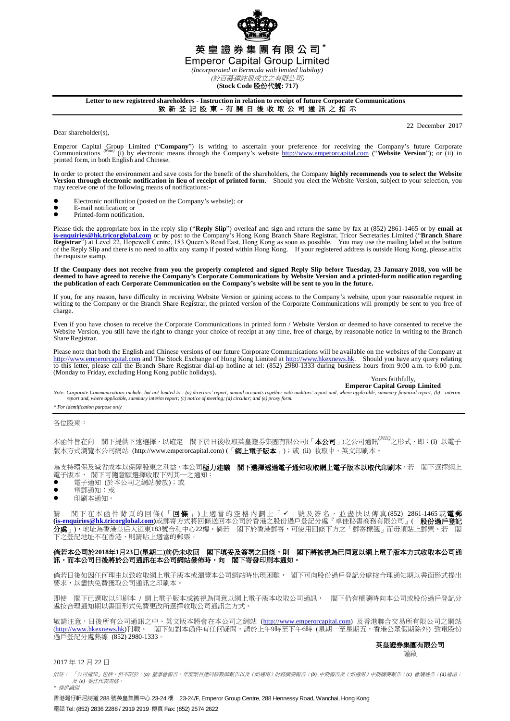

**(Stock Code** 股份代號**: 717)**

## **Letter to new registered shareholders - Instruction in relation to receipt of future Corporate Communications** 致 新 登 記 股 東 - 有 關 日 後 收 取 公 司 通 訊 之 指 示

Dear shareholder(s).

22 December 2017

Emperor Capital Group Limited ("Company") is writing to ascertain your preference for receiving the Company's future Corporate Company's future Corporate Company's future Corporate Company's future Corporate Company's webs printed form, in both English and Chinese.

In order to protect the environment and save costs for the benefit of the shareholders, the Company **highly recommends you to select the Website Version through electronic notification in lieu of receipt of printed form**. Should you elect the Website Version, subject to your selection, you may receive one of the following means of notifications:-

- Electronic notification (posted on the Company's website); or
- E-mail notification; or<br>• Printed-form notificati
- Printed-form notification.

Please tick the appropriate box in the reply slip ("**Reply Slip**") overleaf and sign and return the same by fax at (852) 2861-1465 or by **email at** [is-enquiries@hk.tricorglobal.com](mailto:is-enquiries@hk.tricorglobal.com) or by post to the Company's Hong Kong Bra of the Reply Slip and there is no need to affix any stamp if posted within Hong Kong. If your registered address is outside Hong Kong, please affix the requisite stamp.

If the Company does not receive from you the properly completed and signed Reply Slip before Tuesday, 23 January 2018, you will be<br>deemed to have agreed to receive the Company's Corporate Communications by Website Version **the publication of each Corporate Communication on the Company's website will be sent to you in the future.**

If you, for any reason, have difficulty in receiving Website Version or gaining access to the Company's website, upon your reasonable request in writing to the Company or the Branch Share Registrar, the printed version of the Corporate Communications will promptly be sent to you free of charge.

Even if you have chosen to receive the Corporate Communications in printed form / Website Version or deemed to have consented to receive the Website Version, you still have the right to change your choice of receipt at any time, free of charge, by reasonable notice in writing to the Branch Share Registrar.

Please note that both the English and Chinese versions of our future Corporate Communications will be available on the websites of the Company at [http://www.emperorcapital.com](http://www.emperorcapital.com/) and The Stock Exchange of Hong Kong Limited at to this letter, please call the Branch Share Registrar dial-up hotline at tel: (852) 2980-1333 during business hours from 9:00 a.m. to 6:00 p.m. (Monday to Friday, excluding Hong Kong public holidays).

Yours faithfully, **Emperor Capital Group Limited**

Note: Corporate Communications include, but not limited to : (a) directors' report, annual accounts together with auditors' report and, where applicable, summary financial report; (b) interim *report and, where applicable, summary interim report; (c) notice of meeting; (d) circular; and (e) proxy form.*

*\* For identification purpose only*

各位股東:

本函件旨在向 閣下提供下述選擇,以確定 閣下於日後收取英皇證券集團有限公司(「**本公司**」)之公司通訊<sup>(*附註)*</sup>之形式,即:(i) 以電子 版本方式瀏覽本公司網站 (http://www.emperorcapital.com) (「網上電子版本」);或 (ii) 收取中、英文印刷本。

為支持環保及減省成本以保障股東之利益,本公司**極力建議 閣下選擇透過電子通知收取網上電子版本以取代印刷本**。若 閣下選擇網上 電子版本, 閣下可隨意願選擇收取下列其一之通知:

- 電子通知 (於本公司之網站發放);或
- 電郵通知;或
- 印刷本通知。

請 閣下在本 函 件 背 頁 的 回 條 ( 「 **回 條** 」) 上 適 當 的 空 格 内 劃 上 「 ✔ 」 號 及 簽 名 , 並 盡 快 以 傳 真 (852) 2861-1465 或 **電 郵 [\(is-enquiries@hk.tricorglobal.com\)](mailto:is-enquiries@hk.tricorglobal.com)**或郵寄方式將回條送回本公司於香港之股份過戶登記分處『卓佳秘書商務有限公司』(「股份過戶登記 分處」),地址為香港皇后大道東183號合和中心22樓。倘若 閣下於香港郵寄,可使用回條下方之「郵寄標籤」而毋須貼上郵票。若 閣 下之登記地址不在香港,則請貼上適當的郵票。

## 倘若本公司於**2018**年**1**月**23**日**(**星期二**)**前仍未收回 閣下填妥及簽署之回條,則 閣下將被視為已同意以網上電子版本方式收取本公司通 訊,而本公司日後將於公司通訊在本公司網站發佈時,向 閣下寄發印刷本通知。

 倘若日後如因任何理由以致收取網上電子版本或瀏覽本公司網站時出現困難, 閣下可向股份過戶登記分處按合理通知期以書面形式提出 要求,以盡快免費獲取公司通訊之印刷本。

即使 閣下已選取以印刷本 / 網上電子版本或被視為同意以網上電子版本收取公司通訊, 閣下仍有權隨時向本公司或股份過戶登記分 處按合理通知期以書面形式免費更改所選擇收取公司通訊之方式。

敬請注意,日後所有公司通訊之中、英文版本將會在本公司之網站 (<u>http://www.emperorcapital.com</u>) 及香港聯合交易所有限公司之網站 (<u>http://www.hkexnews.hk</u>)刊載。 閣下如對本函件有任何疑問,請於上午9時至下午6時(星期一至星期五,香港公眾假期除外)致電股份 過戶登記分處熱線 (852) 2980-1333。

> 英皇證券集團有限公司 謹啟

2017 年 12 月 22 日

附註: 「公司通訊」包括,但不限於:*(a)* 董事會報告、年度賬目連同核數師報告以及(如適用)財務摘要報告;*(b)* 中期報告及(如適用)中期摘要報告;*(c)* 會議通告;*(d)*通函; 及 *(e)* 委任代表表格。 *\** 僅供識別

香港灣仔軒尼詩道 288 號英皇集團中心 23-24 樓 23-24/F, Emperor Group Centre, 288 Hennessy Road, Wanchai, Hong Kong 電話 Tel: (852) 2836 2288 / 2919 2919 傳真 Fax: (852) 2574 2622